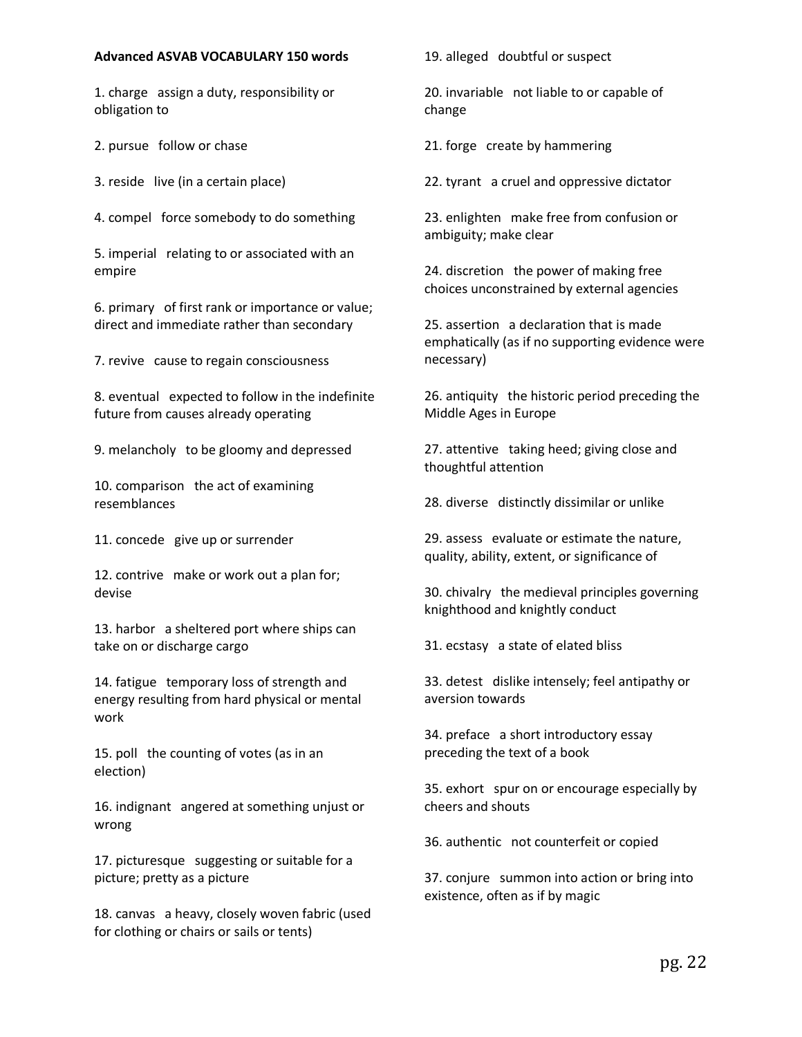## **Advanced ASVAB VOCABULARY 150 words**

1. charge assign a duty, responsibility or obligation to

2. pursue follow or chase

3. reside live (in a certain place)

4. compel force somebody to do something

5. imperial relating to or associated with an empire

6. primary of first rank or importance or value; direct and immediate rather than secondary

7. revive cause to regain consciousness

8. eventual expected to follow in the indefinite future from causes already operating

9. melancholy to be gloomy and depressed

10. comparison the act of examining resemblances

11. concede give up or surrender

12. contrive make or work out a plan for; devise

13. harbor a sheltered port where ships can take on or discharge cargo

14. fatigue temporary loss of strength and energy resulting from hard physical or mental work

15. poll the counting of votes (as in an election)

16. indignant angered at something unjust or wrong

17. picturesque suggesting or suitable for a picture; pretty as a picture

18. canvas a heavy, closely woven fabric (used for clothing or chairs or sails or tents)

19. alleged doubtful or suspect

20. invariable not liable to or capable of change

21. forge create by hammering

22. tyrant a cruel and oppressive dictator

23. enlighten make free from confusion or ambiguity; make clear

24. discretion the power of making free choices unconstrained by external agencies

25. assertion a declaration that is made emphatically (as if no supporting evidence were necessary)

26. antiquity the historic period preceding the Middle Ages in Europe

27. attentive taking heed; giving close and thoughtful attention

28. diverse distinctly dissimilar or unlike

29. assess evaluate or estimate the nature, quality, ability, extent, or significance of

30. chivalry the medieval principles governing knighthood and knightly conduct

31. ecstasy a state of elated bliss

33. detest dislike intensely; feel antipathy or aversion towards

34. preface a short introductory essay preceding the text of a book

35. exhort spur on or encourage especially by cheers and shouts

36. authentic not counterfeit or copied

37. conjure summon into action or bring into existence, often as if by magic